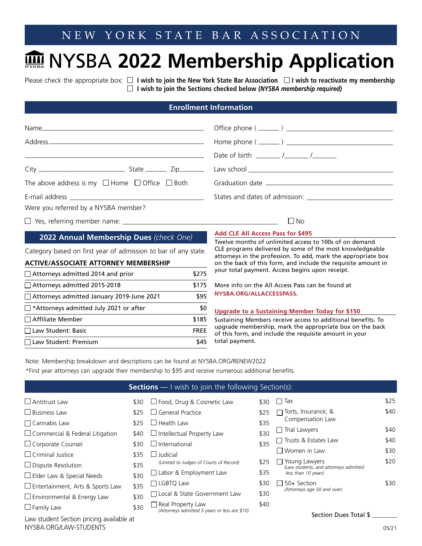# NEW YORK STATE BAR ASSOCIATION

# **MEX NYSBA 2022 Membership Application**

Please check the appropriate box: **I wish to join the New York State Bar Association I wish to reactivate my membership I wish to join the Sections checked below** *(NYSBA membership required)*

### **Enrollment Information**

| The above address is my $\Box$ Home $\Box$ Office $\Box$ Both<br>$\Box$ No<br>Add CLE All Access Pass for \$495<br>2022 Annual Membership Dues (check One)<br>Twelve months of unlimited access to 100s of on demand<br>CLE programs delivered by some of the most knowledgeable<br>attorneys in the profession. To add, mark the appropriate box<br><b>ACTIVE/ASSOCIATE ATTORNEY MEMBERSHIP</b><br>on the back of this form, and include the requisite amount in<br>your total payment. Access begins upon receipt.<br>\$275<br>$\Box$ Attorneys admitted 2014 and prior<br>□ Attorneys admitted 2015-2018<br>\$175<br>More info on the All Access Pass can be found at<br>NYSBA.ORG/ALLACCESSPASS.<br>\$95<br>□ Attorneys admitted January 2019-June 2021<br>\$0<br><b>Upgrade to a Sustaining Member Today for \$150</b><br>□ Affiliate Member<br>\$185<br>Sustaining Members receive access to additional benefits. To<br>upgrade membership, mark the appropriate box on the back<br>□ Law Student: Basic<br><b>FREE</b><br>of this form, and include the requisite amount in your<br>total payment.<br>$\sqsupset$ Law Student: Premium<br>\$45<br>Note: Membership breakdown and descriptions can be found at NYSBA.ORG/RENEW2022<br>*First year attorneys can upgrade their membership to \$95 and receive numerous additional benefits.<br><b>Sections</b> $-1$ wish to join the following Section(s):<br>\$30 □ Food, Drug & Cosmetic Law \$30 □ Tax |                                                                |  |      |  |  |  |
|----------------------------------------------------------------------------------------------------------------------------------------------------------------------------------------------------------------------------------------------------------------------------------------------------------------------------------------------------------------------------------------------------------------------------------------------------------------------------------------------------------------------------------------------------------------------------------------------------------------------------------------------------------------------------------------------------------------------------------------------------------------------------------------------------------------------------------------------------------------------------------------------------------------------------------------------------------------------------------------------------------------------------------------------------------------------------------------------------------------------------------------------------------------------------------------------------------------------------------------------------------------------------------------------------------------------------------------------------------------------------------------------------------------------------------------------------------------|----------------------------------------------------------------|--|------|--|--|--|
|                                                                                                                                                                                                                                                                                                                                                                                                                                                                                                                                                                                                                                                                                                                                                                                                                                                                                                                                                                                                                                                                                                                                                                                                                                                                                                                                                                                                                                                                |                                                                |  |      |  |  |  |
|                                                                                                                                                                                                                                                                                                                                                                                                                                                                                                                                                                                                                                                                                                                                                                                                                                                                                                                                                                                                                                                                                                                                                                                                                                                                                                                                                                                                                                                                |                                                                |  |      |  |  |  |
|                                                                                                                                                                                                                                                                                                                                                                                                                                                                                                                                                                                                                                                                                                                                                                                                                                                                                                                                                                                                                                                                                                                                                                                                                                                                                                                                                                                                                                                                |                                                                |  |      |  |  |  |
|                                                                                                                                                                                                                                                                                                                                                                                                                                                                                                                                                                                                                                                                                                                                                                                                                                                                                                                                                                                                                                                                                                                                                                                                                                                                                                                                                                                                                                                                |                                                                |  |      |  |  |  |
|                                                                                                                                                                                                                                                                                                                                                                                                                                                                                                                                                                                                                                                                                                                                                                                                                                                                                                                                                                                                                                                                                                                                                                                                                                                                                                                                                                                                                                                                |                                                                |  |      |  |  |  |
|                                                                                                                                                                                                                                                                                                                                                                                                                                                                                                                                                                                                                                                                                                                                                                                                                                                                                                                                                                                                                                                                                                                                                                                                                                                                                                                                                                                                                                                                | Were you referred by a NYSBA member?                           |  |      |  |  |  |
|                                                                                                                                                                                                                                                                                                                                                                                                                                                                                                                                                                                                                                                                                                                                                                                                                                                                                                                                                                                                                                                                                                                                                                                                                                                                                                                                                                                                                                                                |                                                                |  |      |  |  |  |
|                                                                                                                                                                                                                                                                                                                                                                                                                                                                                                                                                                                                                                                                                                                                                                                                                                                                                                                                                                                                                                                                                                                                                                                                                                                                                                                                                                                                                                                                | Category based on first year of admission to bar of any state. |  |      |  |  |  |
|                                                                                                                                                                                                                                                                                                                                                                                                                                                                                                                                                                                                                                                                                                                                                                                                                                                                                                                                                                                                                                                                                                                                                                                                                                                                                                                                                                                                                                                                |                                                                |  |      |  |  |  |
|                                                                                                                                                                                                                                                                                                                                                                                                                                                                                                                                                                                                                                                                                                                                                                                                                                                                                                                                                                                                                                                                                                                                                                                                                                                                                                                                                                                                                                                                |                                                                |  |      |  |  |  |
|                                                                                                                                                                                                                                                                                                                                                                                                                                                                                                                                                                                                                                                                                                                                                                                                                                                                                                                                                                                                                                                                                                                                                                                                                                                                                                                                                                                                                                                                |                                                                |  |      |  |  |  |
|                                                                                                                                                                                                                                                                                                                                                                                                                                                                                                                                                                                                                                                                                                                                                                                                                                                                                                                                                                                                                                                                                                                                                                                                                                                                                                                                                                                                                                                                |                                                                |  |      |  |  |  |
|                                                                                                                                                                                                                                                                                                                                                                                                                                                                                                                                                                                                                                                                                                                                                                                                                                                                                                                                                                                                                                                                                                                                                                                                                                                                                                                                                                                                                                                                | $\Box$ *Attorneys admitted July 2021 or after                  |  |      |  |  |  |
|                                                                                                                                                                                                                                                                                                                                                                                                                                                                                                                                                                                                                                                                                                                                                                                                                                                                                                                                                                                                                                                                                                                                                                                                                                                                                                                                                                                                                                                                |                                                                |  |      |  |  |  |
|                                                                                                                                                                                                                                                                                                                                                                                                                                                                                                                                                                                                                                                                                                                                                                                                                                                                                                                                                                                                                                                                                                                                                                                                                                                                                                                                                                                                                                                                |                                                                |  |      |  |  |  |
|                                                                                                                                                                                                                                                                                                                                                                                                                                                                                                                                                                                                                                                                                                                                                                                                                                                                                                                                                                                                                                                                                                                                                                                                                                                                                                                                                                                                                                                                |                                                                |  |      |  |  |  |
|                                                                                                                                                                                                                                                                                                                                                                                                                                                                                                                                                                                                                                                                                                                                                                                                                                                                                                                                                                                                                                                                                                                                                                                                                                                                                                                                                                                                                                                                |                                                                |  |      |  |  |  |
|                                                                                                                                                                                                                                                                                                                                                                                                                                                                                                                                                                                                                                                                                                                                                                                                                                                                                                                                                                                                                                                                                                                                                                                                                                                                                                                                                                                                                                                                | $\Box$ Antitrust Law                                           |  | \$25 |  |  |  |

| $\Box$ Antitrust Law                    | \$30 | $\Box$ Food, Drug & Cosmetic Law                                          | \$30 | Tax                                                    | \$25 |
|-----------------------------------------|------|---------------------------------------------------------------------------|------|--------------------------------------------------------|------|
| $\Box$ Business Law                     | \$25 | $\Box$ General Practice                                                   | \$25 | Torts, Insurance, &                                    | \$40 |
| $\Box$ Cannabis Law                     | \$25 | $\Box$ Health Law                                                         | \$35 | Compensation Law                                       |      |
| $\Box$ Commercial & Federal Litigation  | \$40 | $\Box$ Intellectual Property Law                                          | \$30 | $\Box$ Trial Lawyers                                   | \$40 |
| $\Box$ Corporate Counsel                | \$30 | $\Box$ International                                                      | \$35 | $\Box$ Trusts & Estates Law                            | \$40 |
| $\Box$ Criminal Justice                 | \$35 | $\Box$ Judicial                                                           |      | Women in Law<br>$\Box$                                 | \$30 |
| $\Box$ Dispute Resolution               | \$35 | (Limited to Judges of Courts of Record)                                   | \$25 | Young Lawyers<br>(Law students, and attorneys admitted | \$20 |
| $\Box$ Elder Law & Special Needs        | \$30 | Labor & Employment Law                                                    | \$35 | less than 10 years)                                    |      |
| $\Box$ Entertainment, Arts & Sports Law | \$35 | $\Box$ LGBTQ Law                                                          | \$30 | 50+ Section                                            | \$30 |
| $\Box$ Environmental & Energy Law       | \$30 | □ Local & State Government Law                                            | \$30 | (Attorneys age 50 and over)                            |      |
| $\Box$ Family Law                       | \$30 | $\Box$ Real Property Law<br>(Attorneys admitted 5 years or less are \$10) | \$40 |                                                        |      |

Law student Section pricing available at NYSBA.ORG/LAW-STUDENTS 05/21

Section Dues Total \$